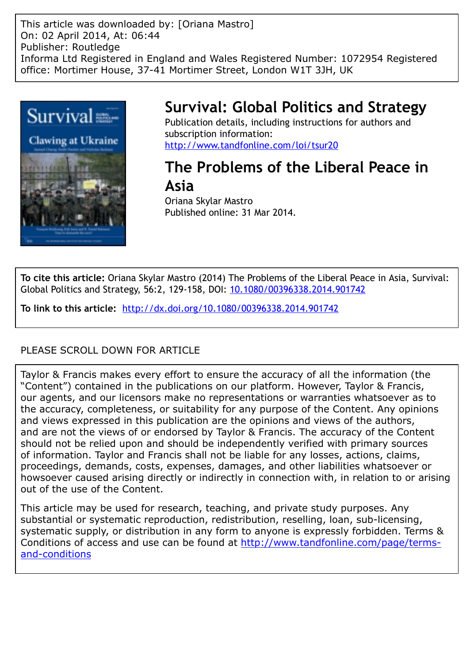This article was downloaded by: [Oriana Mastro] On: 02 April 2014, At: 06:44 Publisher: Routledge Informa Ltd Registered in England and Wales Registered Number: 1072954 Registered office: Mortimer House, 37-41 Mortimer Street, London W1T 3JH, UK



## **Survival: Global Politics and Strategy**

Publication details, including instructions for authors and subscription information: <http://www.tandfonline.com/loi/tsur20>

## **The Problems of the Liberal Peace in Asia**

Oriana Skylar Mastro Published online: 31 Mar 2014.

**To cite this article:** Oriana Skylar Mastro (2014) The Problems of the Liberal Peace in Asia, Survival: Global Politics and Strategy, 56:2, 129-158, DOI: [10.1080/00396338.2014.901742](http://www.tandfonline.com/action/showCitFormats?doi=10.1080/00396338.2014.901742)

**To link to this article:** <http://dx.doi.org/10.1080/00396338.2014.901742>

### PLEASE SCROLL DOWN FOR ARTICLE

Taylor & Francis makes every effort to ensure the accuracy of all the information (the "Content") contained in the publications on our platform. However, Taylor & Francis, our agents, and our licensors make no representations or warranties whatsoever as to the accuracy, completeness, or suitability for any purpose of the Content. Any opinions and views expressed in this publication are the opinions and views of the authors, and are not the views of or endorsed by Taylor & Francis. The accuracy of the Content should not be relied upon and should be independently verified with primary sources of information. Taylor and Francis shall not be liable for any losses, actions, claims, proceedings, demands, costs, expenses, damages, and other liabilities whatsoever or howsoever caused arising directly or indirectly in connection with, in relation to or arising out of the use of the Content.

This article may be used for research, teaching, and private study purposes. Any substantial or systematic reproduction, redistribution, reselling, loan, sub-licensing, systematic supply, or distribution in any form to anyone is expressly forbidden. Terms & Conditions of access and use can be found at [http://www.tandfonline.com/page/terms](http://www.tandfonline.com/page/terms-and-conditions)[and-conditions](http://www.tandfonline.com/page/terms-and-conditions)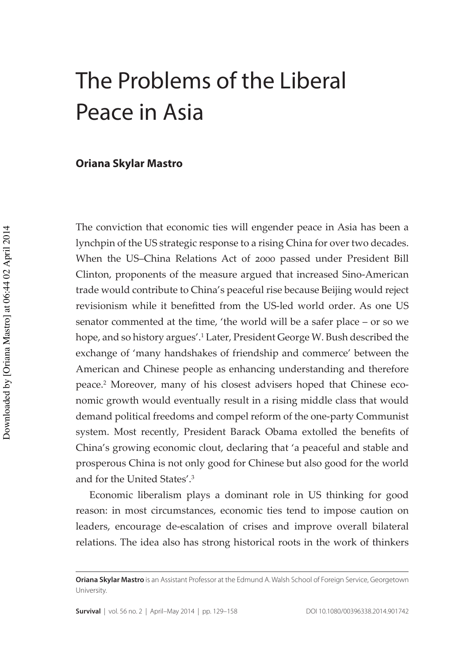# The Problems of the Liberal Peace in Asia

#### **Oriana Skylar Mastro**

The conviction that economic ties will engender peace in Asia has been a lynchpin of the US strategic response to a rising China for over two decades. When the US-China Relations Act of 2000 passed under President Bill Clinton, proponents of the measure argued that increased Sino-American trade would contribute to China's peaceful rise because Beijing would reject revisionism while it benefitted from the US-led world order. As one US senator commented at the time, 'the world will be a safer place – or so we hope, and so history argues'.<sup>1</sup> Later, President George W. Bush described the exchange of 'many handshakes of friendship and commerce' between the American and Chinese people as enhancing understanding and therefore peace.<sup>2</sup> Moreover, many of his closest advisers hoped that Chinese economic growth would eventually result in a rising middle class that would demand political freedoms and compel reform of the one-party Communist system. Most recently, President Barack Obama extolled the benefits of China's growing economic clout, declaring that 'a peaceful and stable and prosperous China is not only good for Chinese but also good for the world and for the United States'.<sup>3</sup>

Economic liberalism plays a dominant role in US thinking for good reason: in most circumstances, economic ties tend to impose caution on leaders, encourage de-escalation of crises and improve overall bilateral relations. The idea also has strong historical roots in the work of thinkers

**Oriana Skylar Mastro** is an Assistant Professor at the Edmund A. Walsh School of Foreign Service, Georgetown University.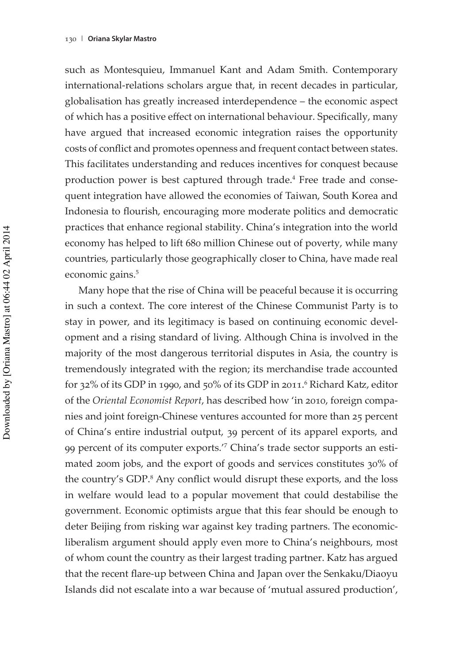such as Montesquieu, Immanuel Kant and Adam Smith. Contemporary international-relations scholars argue that, in recent decades in particular, globalisation has greatly increased interdependence – the economic aspect of which has a positive effect on international behaviour. Specifically, many have argued that increased economic integration raises the opportunity costs of conflict and promotes openness and frequent contact between states. This facilitates understanding and reduces incentives for conquest because production power is best captured through trade.<sup>4</sup> Free trade and consequent integration have allowed the economies of Taiwan, South Korea and Indonesia to flourish, encouraging more moderate politics and democratic practices that enhance regional stability. China's integration into the world economy has helped to lift 680 million Chinese out of poverty, while many countries, particularly those geographically closer to China, have made real economic gains.<sup>5</sup>

Many hope that the rise of China will be peaceful because it is occurring in such a context. The core interest of the Chinese Communist Party is to stay in power, and its legitimacy is based on continuing economic development and a rising standard of living. Although China is involved in the majority of the most dangerous territorial disputes in Asia, the country is tremendously integrated with the region; its merchandise trade accounted for 32% of its GDP in 1990, and 50% of its GDP in 2011.<sup>6</sup> Richard Katz, editor of the *Oriental Economist Report*, has described how 'in 2010, foreign companies and joint foreign-Chinese ventures accounted for more than 25 percent of China's entire industrial output, 39 percent of its apparel exports, and 99 percent of its computer exports.'<sup>7</sup> China's trade sector supports an estimated 200m jobs, and the export of goods and services constitutes 30% of the country's GDP.<sup>8</sup> Any conflict would disrupt these exports, and the loss in welfare would lead to a popular movement that could destabilise the government. Economic optimists argue that this fear should be enough to deter Beijing from risking war against key trading partners. The economicliberalism argument should apply even more to China's neighbours, most of whom count the country as their largest trading partner. Katz has argued that the recent flare-up between China and Japan over the Senkaku/Diaoyu Islands did not escalate into a war because of 'mutual assured production',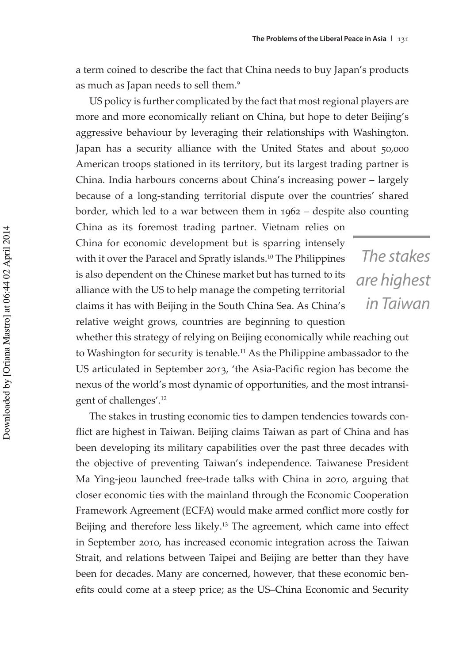a term coined to describe the fact that China needs to buy Japan's products as much as Japan needs to sell them.<sup>9</sup>

US policy is further complicated by the fact that most regional players are more and more economically reliant on China, but hope to deter Beijing's aggressive behaviour by leveraging their relationships with Washington. Japan has a security alliance with the United States and about 50,000 American troops stationed in its territory, but its largest trading partner is China. India harbours concerns about China's increasing power - largely because of a long-standing territorial dispute over the countries' shared border, which led to a war between them in 1962 – despite also counting

China as its foremost trading partner. Vietnam relies on China for economic development but is sparring intensely with it over the Paracel and Spratly islands.<sup>10</sup> The Philippines is also dependent on the Chinese market but has turned to its alliance with the US to help manage the competing territorial claims it has with Beijing in the South China Sea. As China's relative weight grows, countries are beginning to question

The stakes are highest in Taiwan

whether this strategy of relying on Beijing economically while reaching out to Washington for security is tenable.<sup>11</sup> As the Philippine ambassador to the US articulated in September 2013, 'the Asia-Pacific region has become the nexus of the world's most dynamic of opportunities, and the most intransigent of challenges'.<sup>12</sup>

The stakes in trusting economic ties to dampen tendencies towards conflict are highest in Taiwan. Beijing claims Taiwan as part of China and has been developing its military capabilities over the past three decades with the objective of preventing Taiwan's independence. Taiwanese President Ma Ying-jeou launched free-trade talks with China in 2010, arguing that closer economic ties with the mainland through the Economic Cooperation Framework Agreement (ECFA) would make armed conflict more costly for Beijing and therefore less likely.<sup>13</sup> The agreement, which came into effect in September 2010, has increased economic integration across the Taiwan Strait, and relations between Taipei and Beijing are better than they have been for decades. Many are concerned, however, that these economic benefits could come at a steep price; as the US-China Economic and Security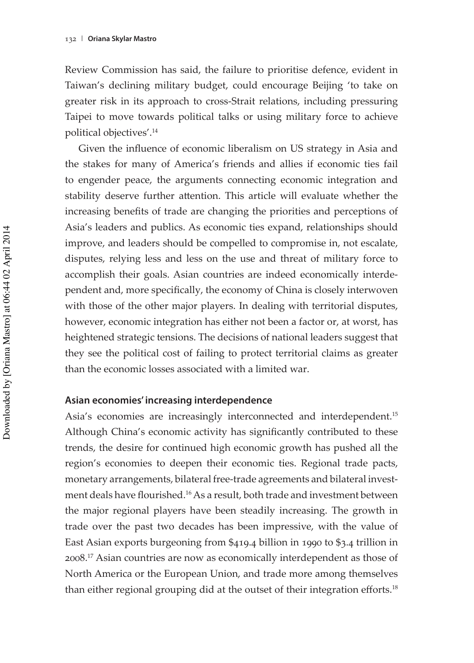Review Commission has said, the failure to prioritise defence, evident in Taiwan's declining military budget, could encourage Beijing 'to take on greater risk in its approach to cross-Strait relations, including pressuring Taipei to move towards political talks or using military force to achieve political objectives'.<sup>14</sup>

Given the influence of economic liberalism on US strategy in Asia and the stakes for many of America's friends and allies if economic ties fail to engender peace, the arguments connecting economic integration and stability deserve further attention. This article will evaluate whether the increasing benefits of trade are changing the priorities and perceptions of Asia's leaders and publics. As economic ties expand, relationships should improve, and leaders should be compelled to compromise in, not escalate, disputes, relying less and less on the use and threat of military force to accomplish their goals. Asian countries are indeed economically interdependent and, more specifically, the economy of China is closely interwoven with those of the other major players. In dealing with territorial disputes, however, economic integration has either not been a factor or, at worst, has heightened strategic tensions. The decisions of national leaders suggest that they see the political cost of failing to protect territorial claims as greater than the economic losses associated with a limited war.

#### **Asian economies' increasing interdependence**

Asia's economies are increasingly interconnected and interdependent.<sup>15</sup> Although China's economic activity has significantly contributed to these trends, the desire for continued high economic growth has pushed all the region's economies to deepen their economic ties. Regional trade pacts, monetary arrangements, bilateral free-trade agreements and bilateral investment deals have flourished.<sup>16</sup> As a result, both trade and investment between the major regional players have been steadily increasing. The growth in trade over the past two decades has been impressive, with the value of East Asian exports burgeoning from \$419.4 billion in 1990 to \$3.4 trillion in 2008.<sup>17</sup> Asian countries are now as economically interdependent as those of North America or the European Union, and trade more among themselves than either regional grouping did at the outset of their integration efforts.<sup>18</sup>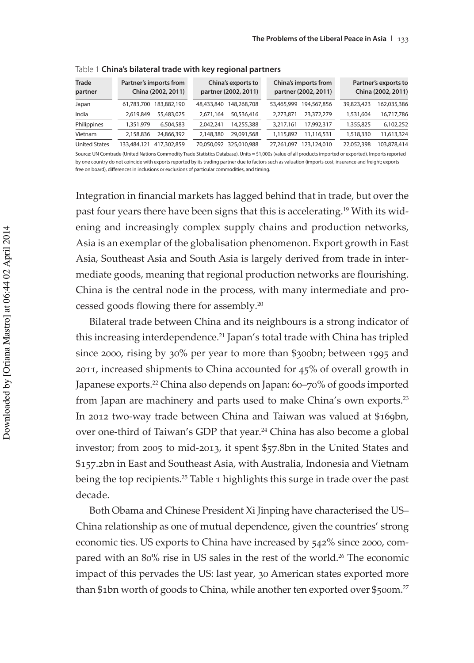| Trade                | Partner's imports from | China's exports to   | China's imports from | Partner's exports to |
|----------------------|------------------------|----------------------|----------------------|----------------------|
| partner              | China (2002, 2011)     | partner (2002, 2011) | partner (2002, 2011) | China (2002, 2011)   |
| Japan                | 183,882,190            | 148.268.708          | 194.567.856          | 162.035.386          |
|                      | 61.783.700             | 48,433,840           | 53.465.999           | 39.823.423           |
| India                | 55.483.025             | 50.536.416           | 23.372.279           | 16,717,786           |
|                      | 2.619.849              | 2.671.164            | 2.273.871            | 1,531,604            |
| Philippines          | 1.351.979              | 14.255.388           | 17.992.317           | 6,102,252            |
|                      | 6.504.583              | 2.042.241            | 3.217.161            | 1.355.825            |
| Vietnam              | 24.866.392             | 2.148.380            | 11.116.531           | 11.613.324           |
|                      | 2.158.836              | 29.091.568           | 1.115.892            | 1,518,330            |
| <b>United States</b> | 417.302.859            | 325.010.988          | 123.124.010          | 103.878.414          |
|                      | 133.484.121            | 70.050.092           | 27.261.097           | 22.052.398           |

Table 1 **China's bilateral trade with key regional partners**

Source: UN Comtrade (United Nations Commodity Trade Statistics Database). Units = \$1,000s (value of all products imported or exported). Imports reported by one country do not coincide with exports reported by its trading partner due to factors such as valuation (imports cost, insurance and freight; exports free on board), diferences in inclusions or exclusions of particular commodities, and timing.

Integration in financial markets has lagged behind that in trade, but over the past four years there have been signs that this is accelerating.<sup>19</sup> With its widening and increasingly complex supply chains and production networks, Asia is an exemplar of the globalisation phenomenon. Export growth in East Asia, Southeast Asia and South Asia is largely derived from trade in intermediate goods, meaning that regional production networks are flourishing. China is the central node in the process, with many intermediate and processed goods flowing there for assembly.<sup>20</sup>

Bilateral trade between China and its neighbours is a strong indicator of this increasing interdependence.<sup>21</sup> Japan's total trade with China has tripled since 2000, rising by  $30\%$  per year to more than \$300bn; between 1995 and 2011, increased shipments to China accounted for 45% of overall growth in Japanese exports.<sup>22</sup> China also depends on Japan: 60–70% of goods imported from Japan are machinery and parts used to make China's own exports.<sup>23</sup> In 2012 two-way trade between China and Taiwan was valued at \$169bn, over one-third of Taiwan's GDP that year.<sup>24</sup> China has also become a global investor; from 2005 to mid-2013, it spent \$57.8bn in the United States and  $$157.2$ bn in East and Southeast Asia, with Australia, Indonesia and Vietnam being the top recipients.<sup>25</sup> Table 1 highlights this surge in trade over the past decade.

Both Obama and Chinese President Xi Jinping have characterised the US-China relationship as one of mutual dependence, given the countries' strong economic ties. US exports to China have increased by 542% since 2000, compared with an 80% rise in US sales in the rest of the world.<sup>26</sup> The economic impact of this pervades the US: last year, 30 American states exported more than \$1bn worth of goods to China, while another ten exported over \$500m.<sup>27</sup>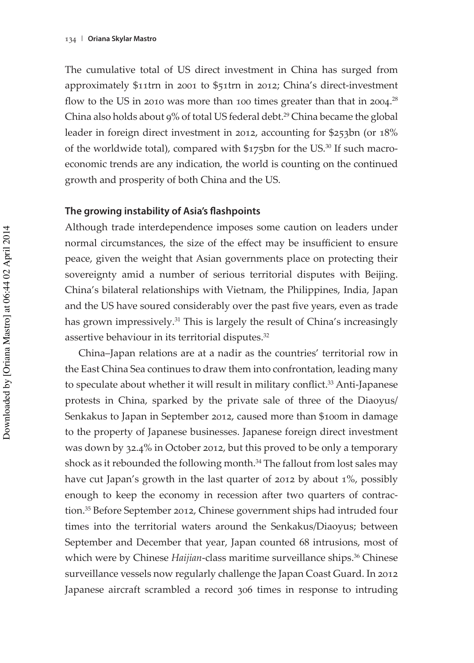The cumulative total of US direct investment in China has surged from approximately \$11trn in 2001 to \$51trn in 2012; China's direct-investment flow to the US in 2010 was more than 100 times greater than that in 2004.<sup>28</sup> China also holds about 9% of total US federal debt.<sup>29</sup> China became the global leader in foreign direct investment in 2012, accounting for \$253bn (or 18% of the worldwide total), compared with \$175bn for the US.<sup>30</sup> If such macroeconomic trends are any indication, the world is counting on the continued growth and prosperity of both China and the US.

#### **The growing instability of Asia's fashpoints**

Although trade interdependence imposes some caution on leaders under normal circumstances, the size of the effect may be insufficient to ensure peace, given the weight that Asian governments place on protecting their sovereignty amid a number of serious territorial disputes with Beijing. China's bilateral relationships with Vietnam, the Philippines, India, Japan and the US have soured considerably over the past five years, even as trade has grown impressively.<sup>31</sup> This is largely the result of China's increasingly assertive behaviour in its territorial disputes.<sup>32</sup>

China–Japan relations are at a nadir as the countries' territorial row in the East China Sea continues to draw them into confrontation, leading many to speculate about whether it will result in military conflict.<sup>33</sup> Anti-Japanese protests in China, sparked by the private sale of three of the Diaoyus/ Senkakus to Japan in September 2012, caused more than \$100m in damage to the property of Japanese businesses. Japanese foreign direct investment was down by 32.4% in October 2012, but this proved to be only a temporary shock as it rebounded the following month.<sup>34</sup> The fallout from lost sales may have cut Japan's growth in the last quarter of 2012 by about 1%, possibly enough to keep the economy in recession after two quarters of contraction.<sup>35</sup> Before September 2012, Chinese government ships had intruded four times into the territorial waters around the Senkakus/Diaoyus; between September and December that year, Japan counted 68 intrusions, most of which were by Chinese *Haijian*-class maritime surveillance ships.<sup>36</sup> Chinese surveillance vessels now regularly challenge the Japan Coast Guard. In 2012 Japanese aircraft scrambled a record 306 times in response to intruding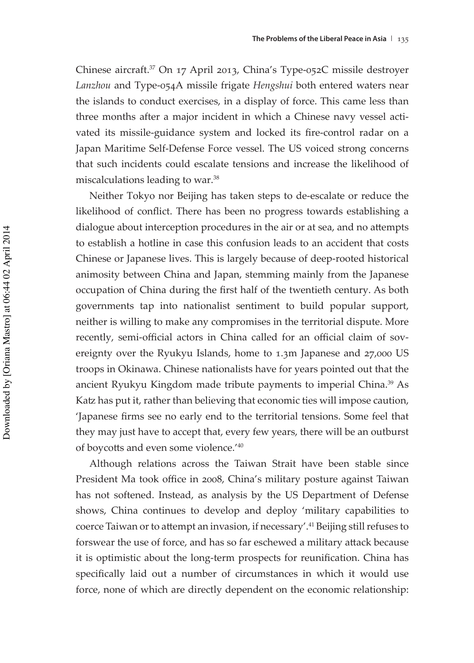Chinese aircraft.<sup>37</sup> On 17 April 2013, China's Type-052C missile destroyer Lanzhou and Type-054A missile frigate *Hengshui* both entered waters near the islands to conduct exercises, in a display of force. This came less than three months after a major incident in which a Chinese navy vessel activated its missile-guidance system and locked its fire-control radar on a Japan Maritime Self-Defense Force vessel. The US voiced strong concerns that such incidents could escalate tensions and increase the likelihood of miscalculations leading to war.<sup>38</sup>

Neither Tokyo nor Beijing has taken steps to de-escalate or reduce the likelihood of conflict. There has been no progress towards establishing a dialogue about interception procedures in the air or at sea, and no attempts to establish a hotline in case this confusion leads to an accident that costs Chinese or Japanese lives. This is largely because of deep-rooted historical animosity between China and Japan, stemming mainly from the Japanese occupation of China during the first half of the twentieth century. As both governments tap into nationalist sentiment to build popular support, neither is willing to make any compromises in the territorial dispute. More recently, semi-official actors in China called for an official claim of sovereignty over the Ryukyu Islands, home to  $1.3m$  Japanese and  $27,000$  US troops in Okinawa. Chinese nationalists have for years pointed out that the ancient Ryukyu Kingdom made tribute payments to imperial China.<sup>39</sup> As Katz has put it, rather than believing that economic ties will impose caution, 'Japanese firms see no early end to the territorial tensions. Some feel that they may just have to accept that, every few years, there will be an outburst of boycotts and even some violence.<sup>'40</sup>

Although relations across the Taiwan Strait have been stable since President Ma took office in 2008, China's military posture against Taiwan has not softened. Instead, as analysis by the US Department of Defense shows, China continues to develop and deploy 'military capabilities to coerce Taiwan or to attempt an invasion, if necessary'.<sup>41</sup> Beijing still refuses to forswear the use of force, and has so far eschewed a military attack because it is optimistic about the long-term prospects for reunification. China has specifically laid out a number of circumstances in which it would use force, none of which are directly dependent on the economic relationship: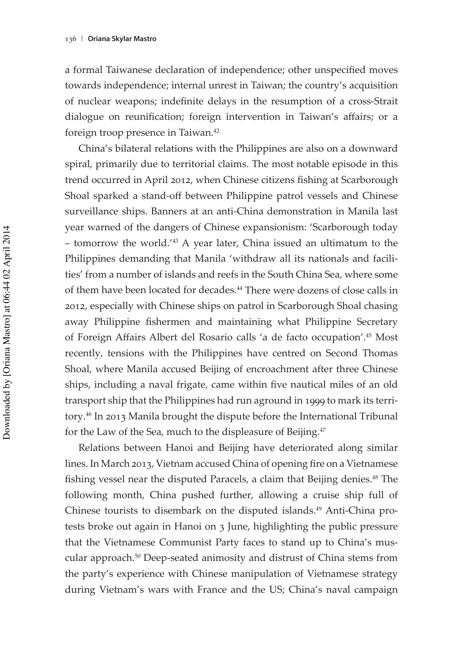a formal Taiwanese declaration of independence; other unspecified moves towards independence; internal unrest in Taiwan; the country's acquisition of nuclear weapons; indefinite delays in the resumption of a cross-Strait dialogue on reunification; foreign intervention in Taiwan's affairs; or a foreign troop presence in Taiwan.<sup>42</sup>

China's bilateral relations with the Philippines are also on a downward spiral, primarily due to territorial claims. The most notable episode in this trend occurred in April 2012, when Chinese citizens fishing at Scarborough Shoal sparked a stand-off between Philippine patrol vessels and Chinese surveillance ships. Banners at an anti-China demonstration in Manila last year warned of the dangers of Chinese expansionism: 'Scarborough today - tomorrow the world.<sup>'43</sup> A year later, China issued an ultimatum to the Philippines demanding that Manila 'withdraw all its nationals and facilities' from a number of islands and reefs in the South China Sea, where some of them have been located for decades.<sup>44</sup> There were dozens of close calls in 2012, especially with Chinese ships on patrol in Scarborough Shoal chasing away Philippine fishermen and maintaining what Philippine Secretary of Foreign Affairs Albert del Rosario calls 'a de facto occupation'.<sup>45</sup> Most recently, tensions with the Philippines have centred on Second Thomas Shoal, where Manila accused Beijing of encroachment after three Chinese ships, including a naval frigate, came within five nautical miles of an old transport ship that the Philippines had run aground in 1999 to mark its territory.<sup>46</sup> In 2013 Manila brought the dispute before the International Tribunal for the Law of the Sea, much to the displeasure of Beijing.<sup>47</sup>

Relations between Hanoi and Beijing have deteriorated along similar lines. In March 2013, Vietnam accused China of opening fire on a Vietnamese fishing vessel near the disputed Paracels, a claim that Beijing denies.<sup>48</sup> The following month, China pushed further, allowing a cruise ship full of Chinese tourists to disembark on the disputed islands.<sup>49</sup> Anti-China protests broke out again in Hanoi on 3 June, highlighting the public pressure that the Vietnamese Communist Party faces to stand up to China's muscular approach.<sup>50</sup> Deep-seated animosity and distrust of China stems from the party's experience with Chinese manipulation of Vietnamese strategy during Vietnam's wars with France and the US; China's naval campaign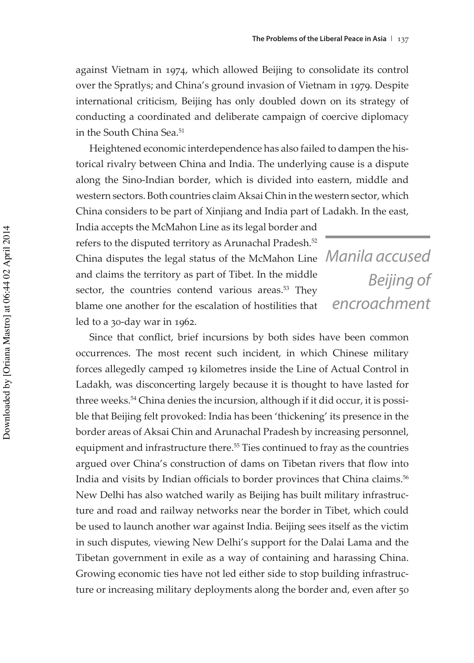against Vietnam in 1974, which allowed Beijing to consolidate its control over the Spratlys; and China's ground invasion of Vietnam in 1979. Despite international criticism, Beijing has only doubled down on its strategy of conducting a coordinated and deliberate campaign of coercive diplomacy in the South China Sea.<sup>51</sup>

Heightened economic interdependence has also failed to dampen the historical rivalry between China and India. The underlying cause is a dispute along the Sino-Indian border, which is divided into eastern, middle and western sectors. Both countries claim Aksai Chin in the western sector, which China considers to be part of Xinjiang and India part of Ladakh. In the east,

India accepts the McMahon Line as its legal border and refers to the disputed territory as Arunachal Pradesh.<sup>52</sup> China disputes the legal status of the McMahon Line *Manila accused* and claims the territory as part of Tibet. In the middle sector, the countries contend various areas.<sup>53</sup> They blame one another for the escalation of hostilities that led to a 30-day war in 1962.

Beijing of encroachment

Since that conflict, brief incursions by both sides have been common occurrences. The most recent such incident, in which Chinese military forces allegedly camped 19 kilometres inside the Line of Actual Control in Ladakh, was disconcerting largely because it is thought to have lasted for three weeks.<sup>54</sup> China denies the incursion, although if it did occur, it is possible that Beijing felt provoked: India has been 'thickening' its presence in the border areas of Aksai Chin and Arunachal Pradesh by increasing personnel, equipment and infrastructure there.<sup>55</sup> Ties continued to fray as the countries argued over China's construction of dams on Tibetan rivers that flow into India and visits by Indian officials to border provinces that China claims.<sup>56</sup> New Delhi has also watched warily as Beijing has built military infrastructure and road and railway networks near the border in Tibet, which could be used to launch another war against India. Beijing sees itself as the victim in such disputes, viewing New Delhi's support for the Dalai Lama and the Tibetan government in exile as a way of containing and harassing China. Growing economic ties have not led either side to stop building infrastructure or increasing military deployments along the border and, even after 50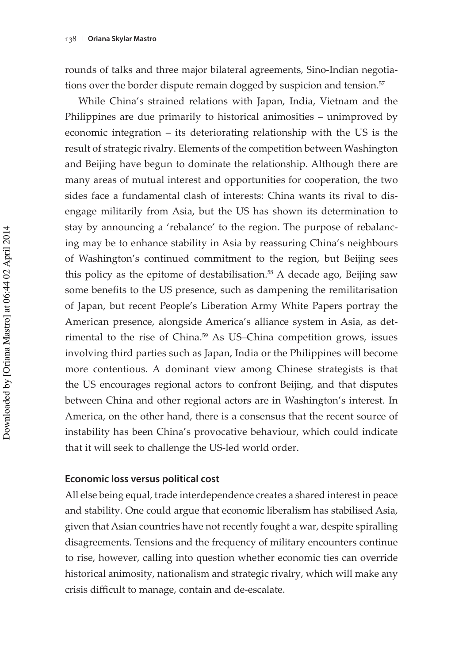rounds of talks and three major bilateral agreements, Sino-Indian negotiations over the border dispute remain dogged by suspicion and tension.<sup>57</sup>

While China's strained relations with Japan, India, Vietnam and the Philippines are due primarily to historical animosities - unimproved by economic integration – its deteriorating relationship with the US is the result of strategic rivalry. Elements of the competition between Washington and Beijing have begun to dominate the relationship. Although there are many areas of mutual interest and opportunities for cooperation, the two sides face a fundamental clash of interests: China wants its rival to disengage militarily from Asia, but the US has shown its determination to stay by announcing a 'rebalance' to the region. The purpose of rebalancing may be to enhance stability in Asia by reassuring China's neighbours of Washington's continued commitment to the region, but Beijing sees this policy as the epitome of destabilisation.<sup>58</sup> A decade ago, Beijing saw some benefits to the US presence, such as dampening the remilitarisation of Japan, but recent People's Liberation Army White Papers portray the American presence, alongside America's alliance system in Asia, as detrimental to the rise of China.<sup>59</sup> As US-China competition grows, issues involving third parties such as Japan, India or the Philippines will become more contentious. A dominant view among Chinese strategists is that the US encourages regional actors to confront Beijing, and that disputes between China and other regional actors are in Washington's interest. In America, on the other hand, there is a consensus that the recent source of instability has been China's provocative behaviour, which could indicate that it will seek to challenge the US-led world order.

#### **Economic loss versus political cost**

All else being equal, trade interdependence creates a shared interest in peace and stability. One could argue that economic liberalism has stabilised Asia, given that Asian countries have not recently fought a war, despite spiralling disagreements. Tensions and the frequency of military encounters continue to rise, however, calling into question whether economic ties can override historical animosity, nationalism and strategic rivalry, which will make any crisis difficult to manage, contain and de-escalate.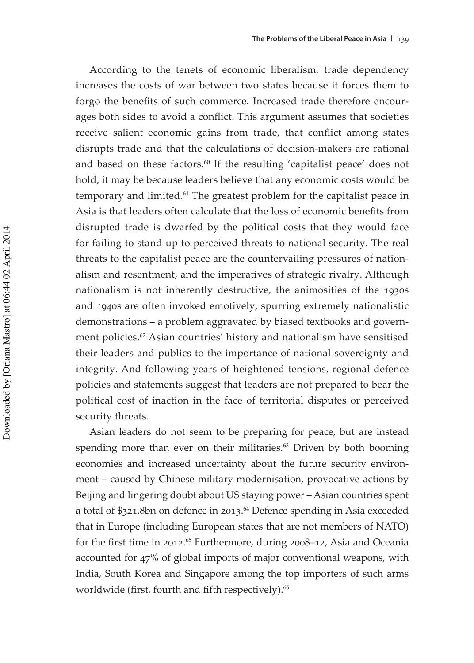According to the tenets of economic liberalism, trade dependency increases the costs of war between two states because it forces them to forgo the benefits of such commerce. Increased trade therefore encourages both sides to avoid a conflict. This argument assumes that societies receive salient economic gains from trade, that conflict among states disrupts trade and that the calculations of decision-makers are rational and based on these factors.<sup>60</sup> If the resulting 'capitalist peace' does not hold, it may be because leaders believe that any economic costs would be temporary and limited.<sup>61</sup> The greatest problem for the capitalist peace in Asia is that leaders often calculate that the loss of economic benefits from disrupted trade is dwarfed by the political costs that they would face for failing to stand up to perceived threats to national security. The real threats to the capitalist peace are the countervailing pressures of nationalism and resentment, and the imperatives of strategic rivalry. Although nationalism is not inherently destructive, the animosities of the 1930s and 1940s are often invoked emotively, spurring extremely nationalistic demonstrations – a problem aggravated by biased textbooks and government policies.<sup>62</sup> Asian countries' history and nationalism have sensitised their leaders and publics to the importance of national sovereignty and integrity. And following years of heightened tensions, regional defence policies and statements suggest that leaders are not prepared to bear the political cost of inaction in the face of territorial disputes or perceived security threats.

Asian leaders do not seem to be preparing for peace, but are instead spending more than ever on their militaries.<sup>63</sup> Driven by both booming economies and increased uncertainty about the future security environment – caused by Chinese military modernisation, provocative actions by Beijing and lingering doubt about US staying power - Asian countries spent a total of \$321.8bn on defence in 2013.<sup>64</sup> Defence spending in Asia exceeded that in Europe (including European states that are not members of NATO) for the first time in 2012.<sup>65</sup> Furthermore, during 2008-12, Asia and Oceania accounted for 47% of global imports of major conventional weapons, with India, South Korea and Singapore among the top importers of such arms worldwide (first, fourth and fifth respectively).<sup>66</sup>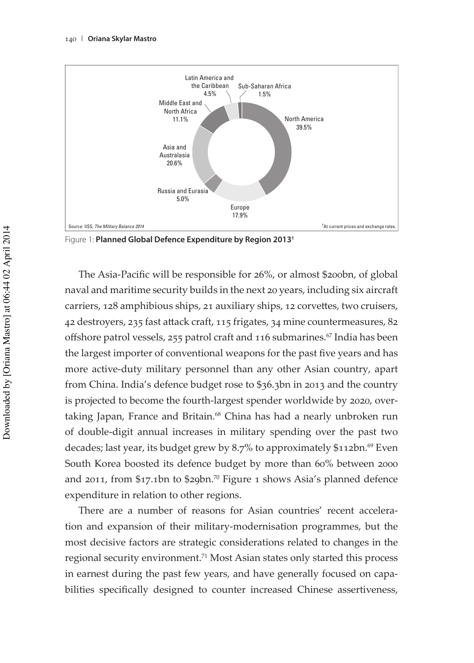

Figure 1: **Planned Global Defence Expenditure by Region 2013†**

The Asia-Pacific will be responsible for 26%, or almost \$200bn, of global naval and maritime security builds in the next 20 years, including six aircraft carriers, 128 amphibious ships, 21 auxiliary ships, 12 corvettes, two cruisers, 42 destroyers, 235 fast attack craft, 115 frigates, 34 mine countermeasures, 82 offshore patrol vessels, 255 patrol craft and 116 submarines.<sup>67</sup> India has been the largest importer of conventional weapons for the past five years and has more active-duty military personnel than any other Asian country, apart from China. India's defence budget rose to \$36.3bn in 2013 and the country is projected to become the fourth-largest spender worldwide by 2020, overtaking Japan, France and Britain.<sup>68</sup> China has had a nearly unbroken run of double-digit annual increases in military spending over the past two decades; last year, its budget grew by 8.7% to approximately \$112bn.<sup>69</sup> Even South Korea boosted its defence budget by more than 60% between 2000 and 2011, from \$17.1bn to \$29bn.<sup>70</sup> Figure 1 shows Asia's planned defence expenditure in relation to other regions.

There are a number of reasons for Asian countries' recent acceleration and expansion of their military-modernisation programmes, but the most decisive factors are strategic considerations related to changes in the regional security environment.<sup>71</sup> Most Asian states only started this process in earnest during the past few years, and have generally focused on capabilities specifically designed to counter increased Chinese assertiveness,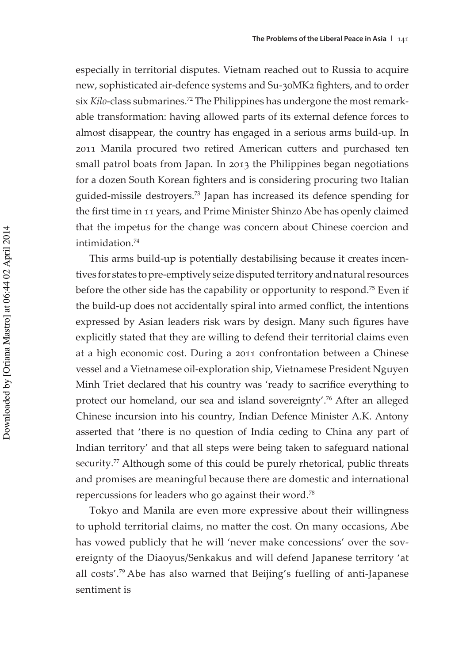especially in territorial disputes. Vietnam reached out to Russia to acquire new, sophisticated air-defence systems and Su-30MK2 fighters, and to order six *Kilo*-class submarines.<sup>72</sup> The Philippines has undergone the most remarkable transformation: having allowed parts of its external defence forces to almost disappear, the country has engaged in a serious arms build-up. In 2011 Manila procured two retired American cutters and purchased ten small patrol boats from Japan. In 2013 the Philippines began negotiations for a dozen South Korean fighters and is considering procuring two Italian guided-missile destroyers.<sup>73</sup> Japan has increased its defence spending for the first time in 11 years, and Prime Minister Shinzo Abe has openly claimed that the impetus for the change was concern about Chinese coercion and intimidation.74

This arms build-up is potentially destabilising because it creates incentives for states to pre-emptively seize disputed territory and natural resources before the other side has the capability or opportunity to respond.<sup>75</sup> Even if the build-up does not accidentally spiral into armed conflict, the intentions expressed by Asian leaders risk wars by design. Many such figures have explicitly stated that they are willing to defend their territorial claims even at a high economic cost. During a 2011 confrontation between a Chinese vessel and a Vietnamese oil-exploration ship, Vietnamese President Nguyen Minh Triet declared that his country was 'ready to sacrifice everything to protect our homeland, our sea and island sovereignty'.<sup>76</sup> After an alleged Chinese incursion into his country, Indian Defence Minister A.K. Antony asserted that 'there is no question of India ceding to China any part of Indian territory' and that all steps were being taken to safeguard national security.<sup>77</sup> Although some of this could be purely rhetorical, public threats and promises are meaningful because there are domestic and international repercussions for leaders who go against their word.<sup>78</sup>

Tokyo and Manila are even more expressive about their willingness to uphold territorial claims, no matter the cost. On many occasions, Abe has vowed publicly that he will 'never make concessions' over the sovereignty of the Diaoyus/Senkakus and will defend Japanese territory 'at all costs'.<sup>79</sup> Abe has also warned that Beijing's fuelling of anti-Japanese sentiment is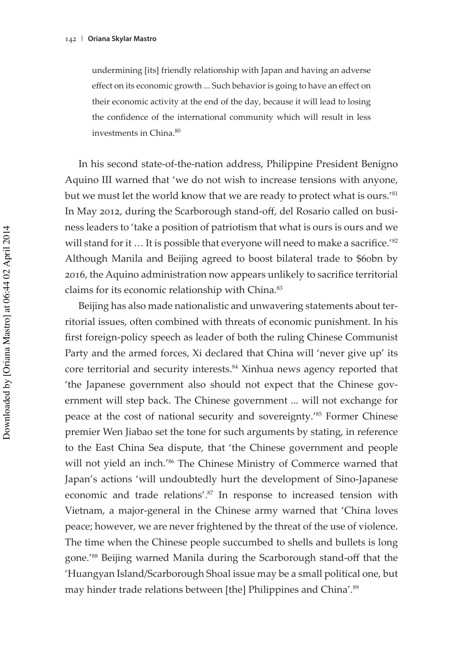undermining [its] friendly relationship with Japan and having an adverse effect on its economic growth ... Such behavior is going to have an effect on their economic activity at the end of the day, because it will lead to losing the confidence of the international community which will result in less investments in China.<sup>80</sup>

In his second state-of-the-nation address, Philippine President Benigno Aquino III warned that 'we do not wish to increase tensions with anyone, but we must let the world know that we are ready to protect what is ours.<sup>'81</sup> In May 2012, during the Scarborough stand-off, del Rosario called on business leaders to 'take a position of patriotism that what is ours is ours and we will stand for it  $\dots$  It is possible that everyone will need to make a sacrifice.<sup> $\frac{82}{2}$ </sup> Although Manila and Beijing agreed to boost bilateral trade to \$60bn by 2016, the Aquino administration now appears unlikely to sacrifice territorial claims for its economic relationship with China.<sup>83</sup>

Beijing has also made nationalistic and unwavering statements about territorial issues, often combined with threats of economic punishment. In his first foreign-policy speech as leader of both the ruling Chinese Communist Party and the armed forces, Xi declared that China will 'never give up' its core territorial and security interests.<sup>84</sup> Xinhua news agency reported that 'the Japanese government also should not expect that the Chinese government will step back. The Chinese government ... will not exchange for peace at the cost of national security and sovereignty.<sup>785</sup> Former Chinese premier Wen Jiabao set the tone for such arguments by stating, in reference to the East China Sea dispute, that 'the Chinese government and people will not yield an inch.'<sup>86</sup> The Chinese Ministry of Commerce warned that Japan's actions 'will undoubtedly hurt the development of Sino-Japanese economic and trade relations'.<sup>87</sup> In response to increased tension with Vietnam, a major-general in the Chinese army warned that 'China loves peace; however, we are never frightened by the threat of the use of violence. The time when the Chinese people succumbed to shells and bullets is long gone.'<sup>88</sup> Beijing warned Manila during the Scarborough stand-off that the 'Huangyan Island/Scarborough Shoal issue may be a small political one, but may hinder trade relations between [the] Philippines and China'.<sup>89</sup>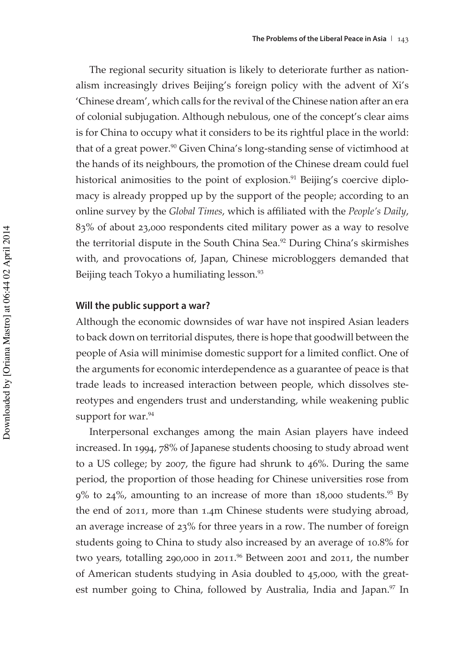The regional security situation is likely to deteriorate further as nationalism increasingly drives Beijing's foreign policy with the advent of Xi's 'Chinese dream', which calls for the revival of the Chinese nation after an era of colonial subjugation. Although nebulous, one of the concept's clear aims is for China to occupy what it considers to be its rightful place in the world: that of a great power.<sup>90</sup> Given China's long-standing sense of victimhood at the hands of its neighbours, the promotion of the Chinese dream could fuel historical animosities to the point of explosion.<sup>91</sup> Beijing's coercive diplomacy is already propped up by the support of the people; according to an online survey by the Global Times, which is affiliated with the People's Daily, 83% of about 23,000 respondents cited military power as a way to resolve the territorial dispute in the South China Sea.<sup>92</sup> During China's skirmishes with, and provocations of, Japan, Chinese microbloggers demanded that Beijing teach Tokyo a humiliating lesson.<sup>93</sup>

#### **Will the public support a war?**

Although the economic downsides of war have not inspired Asian leaders to back down on territorial disputes, there is hope that goodwill between the people of Asia will minimise domestic support for a limited conflict. One of the arguments for economic interdependence as a guarantee of peace is that trade leads to increased interaction between people, which dissolves stereotypes and engenders trust and understanding, while weakening public support for war.<sup>94</sup>

Interpersonal exchanges among the main Asian players have indeed increased. In 1994, 78% of Japanese students choosing to study abroad went to a US college; by 2007, the figure had shrunk to 46%. During the same period, the proportion of those heading for Chinese universities rose from  $9\%$  to 24%, amounting to an increase of more than 18,000 students.<sup>95</sup> By the end of 2011, more than 1.4m Chinese students were studying abroad, an average increase of 23% for three years in a row. The number of foreign students going to China to study also increased by an average of 10.8% for two years, totalling 290,000 in 2011.<sup>96</sup> Between 2001 and 2011, the number of American students studying in Asia doubled to 45,000, with the greatest number going to China, followed by Australia, India and Japan.<sup>97</sup> In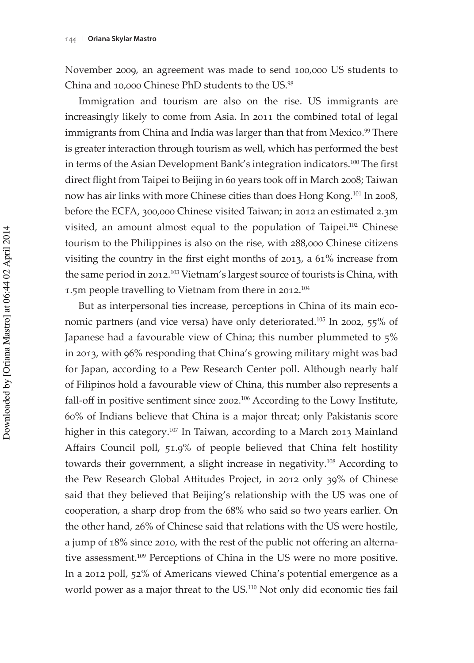November 2009, an agreement was made to send 100,000 US students to China and 10,000 Chinese PhD students to the US.<sup>98</sup>

Immigration and tourism are also on the rise. US immigrants are increasingly likely to come from Asia. In 2011 the combined total of legal immigrants from China and India was larger than that from Mexico.<sup>99</sup> There is greater interaction through tourism as well, which has performed the best in terms of the Asian Development Bank's integration indicators.<sup>100</sup> The first direct flight from Taipei to Beijing in 60 years took off in March 2008; Taiwan now has air links with more Chinese cities than does Hong Kong.<sup>101</sup> In 2008, before the ECFA, 300,000 Chinese visited Taiwan; in 2012 an estimated 2.3m visited, an amount almost equal to the population of Taipei.<sup>102</sup> Chinese tourism to the Philippines is also on the rise, with 288,000 Chinese citizens visiting the country in the first eight months of  $2013$ , a  $61\%$  increase from the same period in 2012.<sup>103</sup> Vietnam's largest source of tourists is China, with 1.5m people travelling to Vietnam from there in 2012.<sup>104</sup>

But as interpersonal ties increase, perceptions in China of its main economic partners (and vice versa) have only deteriorated.<sup>105</sup> In 2002, 55% of Japanese had a favourable view of China; this number plummeted to 5% in 2013, with 96% responding that China's growing military might was bad for Japan, according to a Pew Research Center poll. Although nearly half of Filipinos hold a favourable view of China, this number also represents a fall-off in positive sentiment since 2002.<sup>106</sup> According to the Lowy Institute, 60% of Indians believe that China is a major threat; only Pakistanis score higher in this category.<sup>107</sup> In Taiwan, according to a March 2013 Mainland Affairs Council poll, 51.9% of people believed that China felt hostility towards their government, a slight increase in negativity.<sup>108</sup> According to the Pew Research Global Attitudes Project, in 2012 only 39% of Chinese said that they believed that Beijing's relationship with the US was one of cooperation, a sharp drop from the 68% who said so two years earlier. On the other hand, 26% of Chinese said that relations with the US were hostile, a jump of 18% since 2010, with the rest of the public not offering an alternative assessment.<sup>109</sup> Perceptions of China in the US were no more positive. In a 2012 poll, 52% of Americans viewed China's potential emergence as a world power as a major threat to the US.<sup>110</sup> Not only did economic ties fail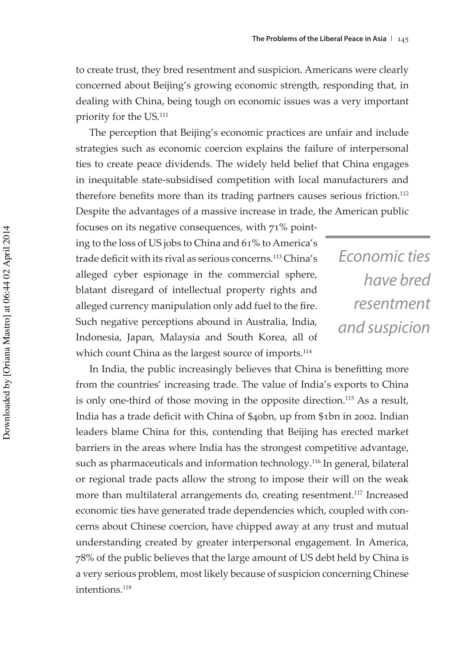to create trust, they bred resentment and suspicion. Americans were clearly concerned about Beijing's growing economic strength, responding that, in dealing with China, being tough on economic issues was a very important priority for the US.111

The perception that Beijing's economic practices are unfair and include strategies such as economic coercion explains the failure of interpersonal ties to create peace dividends. The widely held belief that China engages in inequitable state-subsidised competition with local manufacturers and therefore benefits more than its trading partners causes serious friction.<sup>112</sup> Despite the advantages of a massive increase in trade, the American public

focuses on its negative consequences, with 71% pointing to the loss of US jobs to China and 61% to America's trade deficit with its rival as serious concerns.<sup>113</sup> China's alleged cyber espionage in the commercial sphere, blatant disregard of intellectual property rights and alleged currency manipulation only add fuel to the fire. Such negative perceptions abound in Australia, India, Indonesia, Japan, Malaysia and South Korea, all of which count China as the largest source of imports.<sup>114</sup>

Economic ties have bred resentment and suspicion

In India, the public increasingly believes that China is benefitting more from the countries' increasing trade. The value of India's exports to China is only one-third of those moving in the opposite direction.<sup>115</sup> As a result, India has a trade deficit with China of \$40bn, up from \$1bn in 2002. Indian leaders blame China for this, contending that Beijing has erected market barriers in the areas where India has the strongest competitive advantage, such as pharmaceuticals and information technology.<sup>116</sup> In general, bilateral or regional trade pacts allow the strong to impose their will on the weak more than multilateral arrangements do, creating resentment.<sup>117</sup> Increased economic ties have generated trade dependencies which, coupled with concerns about Chinese coercion, have chipped away at any trust and mutual understanding created by greater interpersonal engagement. In America, 78% of the public believes that the large amount of US debt held by China is a very serious problem, most likely because of suspicion concerning Chinese intentions.118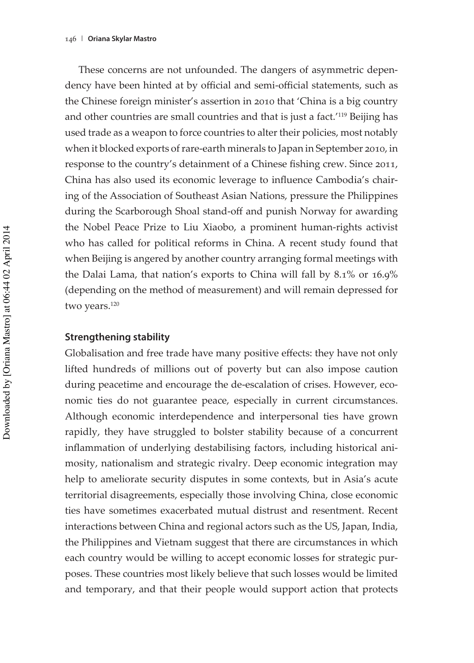These concerns are not unfounded. The dangers of asymmetric dependency have been hinted at by official and semi-official statements, such as the Chinese foreign minister's assertion in 2010 that 'China is a big country and other countries are small countries and that is just a fact.'<sup>119</sup> Beijing has used trade as a weapon to force countries to alter their policies, most notably when it blocked exports of rare-earth minerals to Japan in September 2010, in response to the country's detainment of a Chinese fishing crew. Since 2011, China has also used its economic leverage to influence Cambodia's chairing of the Association of Southeast Asian Nations, pressure the Philippines during the Scarborough Shoal stand-off and punish Norway for awarding the Nobel Peace Prize to Liu Xiaobo, a prominent human-rights activist who has called for political reforms in China. A recent study found that when Beijing is angered by another country arranging formal meetings with the Dalai Lama, that nation's exports to China will fall by 8.1% or 16.9% (depending on the method of measurement) and will remain depressed for two years.<sup>120</sup>

#### **Strengthening stability**

Globalisation and free trade have many positive effects: they have not only lifted hundreds of millions out of poverty but can also impose caution during peacetime and encourage the de-escalation of crises. However, economic ties do not guarantee peace, especially in current circumstances. Although economic interdependence and interpersonal ties have grown rapidly, they have struggled to bolster stability because of a concurrent inflammation of underlying destabilising factors, including historical animosity, nationalism and strategic rivalry. Deep economic integration may help to ameliorate security disputes in some contexts, but in Asia's acute territorial disagreements, especially those involving China, close economic ties have sometimes exacerbated mutual distrust and resentment. Recent interactions between China and regional actors such as the US, Japan, India, the Philippines and Vietnam suggest that there are circumstances in which each country would be willing to accept economic losses for strategic purposes. These countries most likely believe that such losses would be limited and temporary, and that their people would support action that protects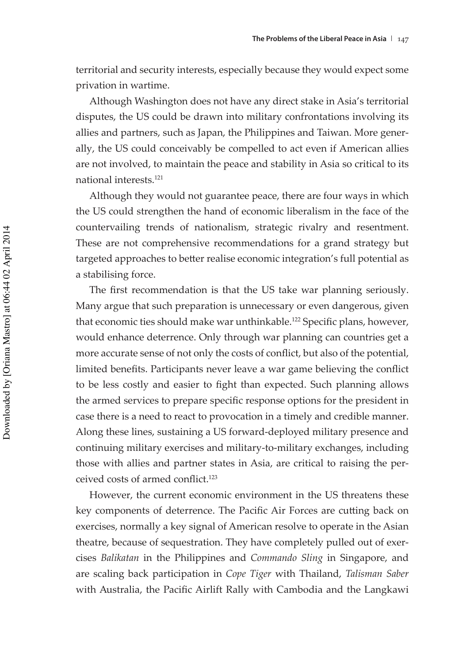territorial and security interests, especially because they would expect some privation in wartime.

Although Washington does not have any direct stake in Asia's territorial disputes, the US could be drawn into military confrontations involving its allies and partners, such as Japan, the Philippines and Taiwan. More generally, the US could conceivably be compelled to act even if American allies are not involved, to maintain the peace and stability in Asia so critical to its national interests.<sup>121</sup>

Although they would not guarantee peace, there are four ways in which the US could strengthen the hand of economic liberalism in the face of the countervailing trends of nationalism, strategic rivalry and resentment. These are not comprehensive recommendations for a grand strategy but targeted approaches to better realise economic integration's full potential as a stabilising force.

The first recommendation is that the US take war planning seriously. Many argue that such preparation is unnecessary or even dangerous, given that economic ties should make war unthinkable.<sup>122</sup> Specific plans, however, would enhance deterrence. Only through war planning can countries get a more accurate sense of not only the costs of conflict, but also of the potential, limited benefits. Participants never leave a war game believing the conflict to be less costly and easier to fight than expected. Such planning allows the armed services to prepare specific response options for the president in case there is a need to react to provocation in a timely and credible manner. Along these lines, sustaining a US forward-deployed military presence and continuing military exercises and military-to-military exchanges, including those with allies and partner states in Asia, are critical to raising the perceived costs of armed conflict.<sup>123</sup>

However, the current economic environment in the US threatens these key components of deterrence. The Pacific Air Forces are cutting back on exercises, normally a key signal of American resolve to operate in the Asian theatre, because of sequestration. They have completely pulled out of exercises Balikatan in the Philippines and Commando Sling in Singapore, and are scaling back participation in *Cope Tiger* with Thailand, *Talisman Saber* with Australia, the Pacific Airlift Rally with Cambodia and the Langkawi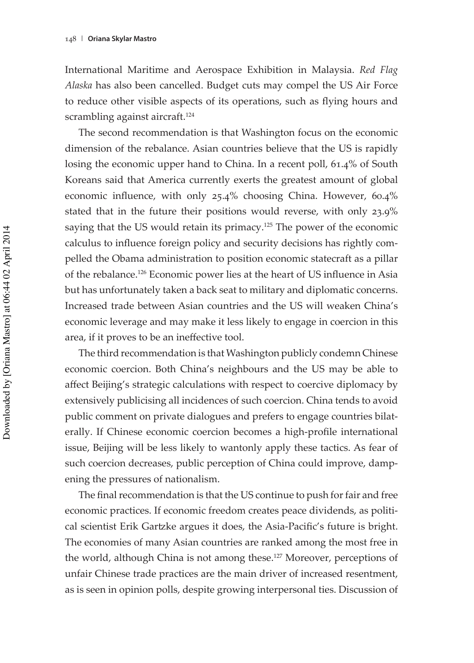International Maritime and Aerospace Exhibition in Malaysia. Red Flag *Alaska* has also been cancelled. Budget cuts may compel the US Air Force to reduce other visible aspects of its operations, such as flying hours and scrambling against aircraft.<sup>124</sup>

The second recommendation is that Washington focus on the economic dimension of the rebalance. Asian countries believe that the US is rapidly losing the economic upper hand to China. In a recent poll, 61.4% of South Koreans said that America currently exerts the greatest amount of global economic influence, with only 25.4% choosing China. However, 60.4% stated that in the future their positions would reverse, with only  $23.9\%$ saying that the US would retain its primacy.<sup>125</sup> The power of the economic calculus to influence foreign policy and security decisions has rightly compelled the Obama administration to position economic statecraft as a pillar of the rebalance.<sup>126</sup> Economic power lies at the heart of US influence in Asia but has unfortunately taken a back seat to military and diplomatic concerns. Increased trade between Asian countries and the US will weaken China's economic leverage and may make it less likely to engage in coercion in this area, if it proves to be an ineffective tool.

The third recommendation is that Washington publicly condemn Chinese economic coercion. Both China's neighbours and the US may be able to affect Beijing's strategic calculations with respect to coercive diplomacy by extensively publicising all incidences of such coercion. China tends to avoid public comment on private dialogues and prefers to engage countries bilaterally. If Chinese economic coercion becomes a high-profile international issue, Beijing will be less likely to wantonly apply these tactics. As fear of such coercion decreases, public perception of China could improve, dampening the pressures of nationalism.

The final recommendation is that the US continue to push for fair and free economic practices. If economic freedom creates peace dividends, as political scientist Erik Gartzke argues it does, the Asia-Pacific's future is bright. The economies of many Asian countries are ranked among the most free in the world, although China is not among these.<sup>127</sup> Moreover, perceptions of unfair Chinese trade practices are the main driver of increased resentment, as is seen in opinion polls, despite growing interpersonal ties. Discussion of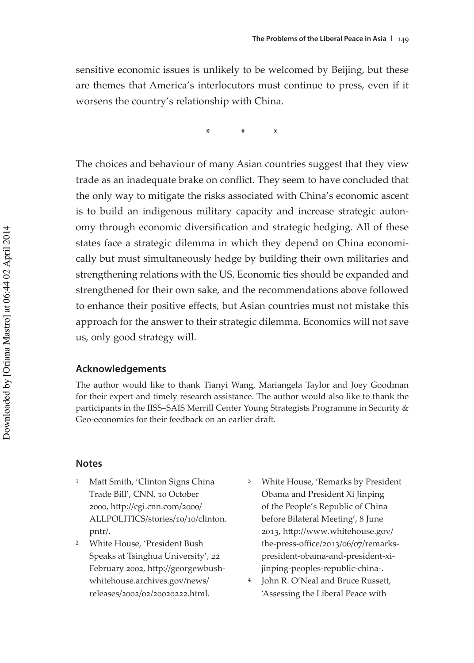sensitive economic issues is unlikely to be welcomed by Beijing, but these are themes that America's interlocutors must continue to press, even if it worsens the country's relationship with China.

**\* \* \***

The choices and behaviour of many Asian countries suggest that they view trade as an inadequate brake on conflict. They seem to have concluded that the only way to mitigate the risks associated with China's economic ascent is to build an indigenous military capacity and increase strategic autonomy through economic diversification and strategic hedging. All of these states face a strategic dilemma in which they depend on China economically but must simultaneously hedge by building their own militaries and strengthening relations with the US. Economic ties should be expanded and strengthened for their own sake, and the recommendations above followed to enhance their positive effects, but Asian countries must not mistake this approach for the answer to their strategic dilemma. Economics will not save us, only good strategy will.

#### **Acknowledgements**

The author would like to thank Tianyi Wang, Mariangela Taylor and Joey Goodman for their expert and timely research assistance. The author would also like to thank the participants in the IISS-SAIS Merrill Center Young Strategists Programme in Security & Geo-economics for their feedback on an earlier draft.

#### **Notes**

- Matt Smith, 'Clinton Signs China Trade Bill', CNN, 10 October 2000, http://cgi.cnn.com/2000/ ALLPOLITICS/stories/10/10/clinton. pntr/.
- <sup>2</sup> White House, 'President Bush Speaks at Tsinghua University', 22 February 2002, http://georgewbushwhitehouse.archives.gov/news/ releases/2002/02/20020222.html.
- <sup>3</sup> White House, 'Remarks by President Obama and President Xi Jinping of the People's Republic of China before Bilateral Meeting', 8 June 2013, http://www.whitehouse.gov/ the-press-office/2013/06/07/remarkspresident-obama-and-president-xijinping-peoples-republic-china-.
- <sup>4</sup> John R. O'Neal and Bruce Russett, 'Assessing the Liberal Peace with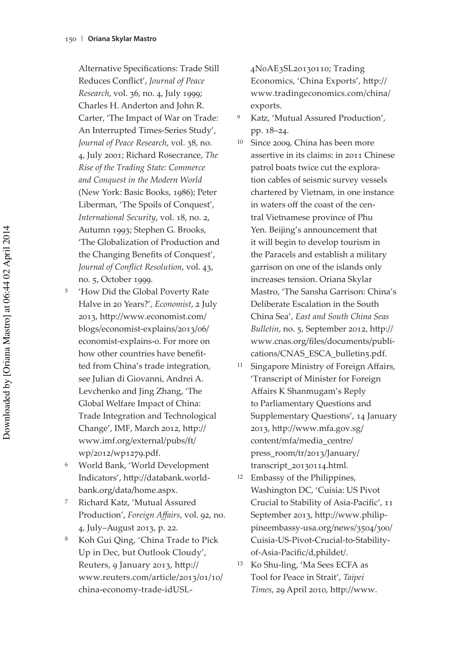Alternative Specifications: Trade Still Reduces Conflict', Journal of Peace *Research*, vol. 36, no. 4, July 1999; Charles H. Anderton and John R. Carter, 'The Impact of War on Trade: An Interrupted Times-Series Study', *Journal of Peace Research*, vol. 38, no. 4, July 2001; Richard Rosecrance, The *Rise of the Trading State: Commerce and Conquest in the Modern World* (New York: Basic Books, 1986); Peter Liberman, 'The Spoils of Conquest', *International Security*, vol. 18, no. 2, Autumn 1993; Stephen G. Brooks, 'The Globalization of Production and the Changing Benefits of Conquest', *<u><i>Journal of Conflict Resolution, vol. 43,*</u> no. 5, October 1999.

- <sup>5</sup> Thow Did the Global Poverty Rate Halve in 20 Years?', E*conomist,* 2 July 2013, http://www.economist.com/ blogs/economist-explains/2013/06/ economist-explains-o. For more on how other countries have benefitted from China's trade integration, see Julian di Giovanni, Andrei A. Levchenko and Jing Zhang, 'The Global Welfare Impact of China: Trade Integration and Technological Change', IMF, March 2012, http:// www.imf.org/external/pubs/ft/ wp/2012/wp1279.pdf.
- <sup>6</sup> World Bank, 'World Development Indicators', http://databank.worldbank.org/data/home.aspx.
- <sup>7</sup> Richard Katz, 'Mutual Assured Production', Foreign Affairs, vol. 92, no. 4, July-August 2013, p. 22.
- <sup>8</sup> Koh Gui Qing, 'China Trade to Pick Up in Dec, but Outlook Cloudy', Reuters, 9 January 2013, http:// www.reuters.com/article/2013/01/10/ china-economy-trade-idUSL-

4NoAE3SL20130110; Trading Economics, 'China Exports', http:// www.tradingeconomics.com/china/ exports.

- <sup>9</sup> Katz, 'Mutual Assured Production', pp. 18-24.
- <sup>10</sup> Since 2009, China has been more assertive in its claims: in 2011 Chinese patrol boats twice cut the exploration cables of seismic survey vessels chartered by Vietnam, in one instance in waters off the coast of the central Vietnamese province of Phu Yen. Beijing's announcement that it will begin to develop tourism in the Paracels and establish a military garrison on one of the islands only increases tension. Oriana Skylar Mastro, 'The Sansha Garrison: China's Deliberate Escalation in the South ȱȂǰȱ*East and South China Seas Bulletin*, no. 5, September 2012, http:// www.cnas.org/files/documents/publications/CNAS\_ESCA\_bulletin5.pdf.
- <sup>11</sup> Singapore Ministry of Foreign Affairs, 'Transcript of Minister for Foreign Affairs K Shanmugam's Reply to Parliamentary Questions and Supplementary Questions', 14 January 2013, http://www.mfa.gov.sg/ content/mfa/media\_centre/ press room/tr/2013/January/ transcript 20130114.html
- <sup>12</sup> Embassy of the Philippines, Washington DC, 'Cuisia: US Pivot Crucial to Stability of Asia-Pacific', 11 September 2013, http://www.philippineembassy-usa.org/news/3504/300/ Cuisia-US-Pivot-Crucial-to-Stabilityof-Asia-Pacific/d,phildet/.
- <sup>13</sup> Ko Shu-ling, 'Ma Sees ECFA as Tool for Peace in Strait', Taipei *Times*, 29 April 2010, http://www.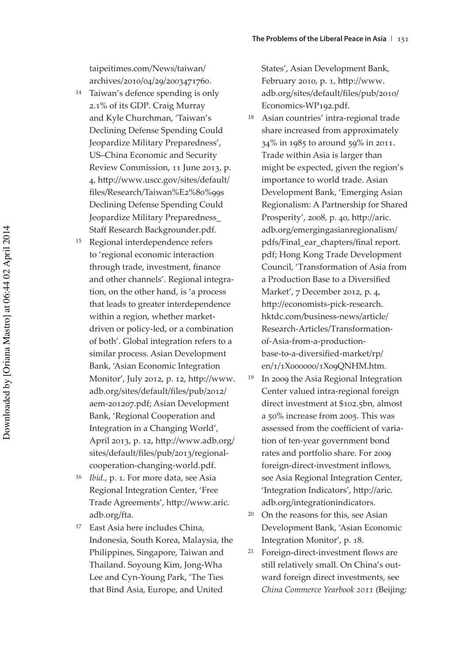taipeitimes.com/News/taiwan/ archives/2010/04/29/2003471760.

- 14 Taiwan's defence spending is only 2.1% of its GDP. Craig Murray and Kyle Churchman, 'Taiwan's Declining Defense Spending Could Jeopardize Military Preparedness', US-China Economic and Security Review Commission, 11 June 2013, p. 4, http://www.uscc.gov/sites/default/ files/Research/Taiwan%E2%8o%99s Declining Defense Spending Could Jeopardize Military Preparedness Staff Research Backgrounder.pdf.
- <sup>15</sup> Regional interdependence refers to 'regional economic interaction through trade, investment, finance and other channels'. Regional integration, on the other hand, is 'a process that leads to greater interdependence within a region, whether marketdriven or policy-led, or a combination of both'. Global integration refers to a similar process. Asian Development Bank, 'Asian Economic Integration Monitor', July 2012, p. 12, http://www. adb.org/sites/default/files/pub/2012/ aem-201207.pdf; Asian Development Bank, 'Regional Cooperation and Integration in a Changing World', April 2013, p. 12, http://www.adb.org/ sites/default/files/pub/2013/regionalcooperation-changing-world.pdf.
- <sup>16</sup> *Ibid.*, p. 1. For more data, see Asia Regional Integration Center, 'Free Trade Agreements', http://www.aric. adb.org/fta.
- <sup>17</sup> East Asia here includes China. Indonesia, South Korea, Malaysia, the Philippines, Singapore, Taiwan and Thailand. Soyoung Kim, Jong-Wha Lee and Cyn-Young Park, 'The Ties that Bind Asia, Europe, and United

States', Asian Development Bank, February 2010, p. 1, http://www. adb.org/sites/default/files/pub/2010/ Economics-WP<sub>192.pdf.</sub>

- <sup>18</sup> Asian countries' intra-regional trade share increased from approximately  $34\%$  in 1985 to around 59% in 2011. Trade within Asia is larger than might be expected, given the region's importance to world trade. Asian Development Bank, 'Emerging Asian Regionalism: A Partnership for Shared Prosperity', 2008, p. 40, http://aric. adb.org/emergingasianregionalism/ pdfs/Final\_ear\_chapters/final report. pdf; Hong Kong Trade Development Council. 'Transformation of Asia from a Production Base to a Diversified Market', 7 December 2012, p. 4, http://economists-pick-research. hktdc.com/business-news/article/ Research-Articles/Transformationof-Asia-from-a-productionbase-to-a-diversified-market/rp/ en/1/1X000000/1X09QNHM.htm.
- <sup>19</sup> In 2009 the Asia Regional Integration Center valued intra-regional foreign direct investment at \$102.5bn, almost a 50% increase from 2005. This was assessed from the coefficient of variation of ten-year government bond rates and portfolio share. For 2009 foreign-direct-investment inflows, see Asia Regional Integration Center, 'Integration Indicators', http://aric. adb.org/integrationindicators.
- <sup>20</sup> On the reasons for this, see Asian Development Bank, 'Asian Economic Integration Monitor', p. 18.
- <sup>21</sup> Foreign-direct-investment flows are still relatively small. On China's outward foreign direct investments, see China Commerce Yearbook 2011 (Beijing: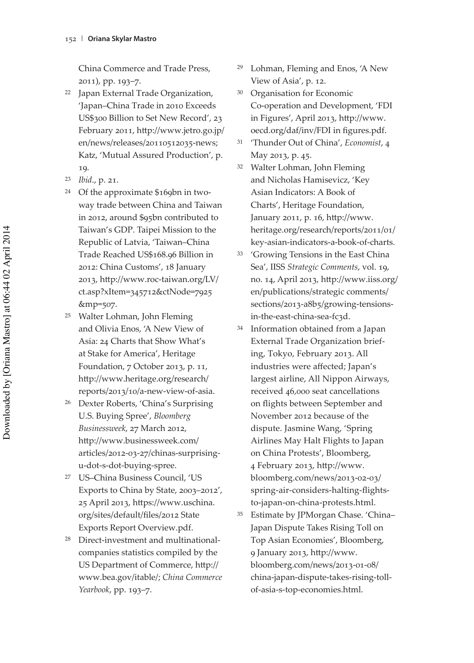China Commerce and Trade Press,  $2011$ , pp.  $193 - 7$ .

- <sup>22</sup> Japan External Trade Organization, 'Japan-China Trade in 2010 Exceeds US\$300 Billion to Set New Record', 23 February 2011, http://www.jetro.go.jp/ en/news/releases/20110512035-news; Katz, 'Mutual Assured Production', p. 19.
- 23 *Ibid.*, p. 21.
- <sup>24</sup> Of the approximate \$169bn in twoway trade between China and Taiwan in 2012, around \$95bn contributed to Taiwan's GDP. Taipei Mission to the Republic of Latvia, 'Taiwan-China Trade Reached US\$168.96 Billion in 2012: China Customs', 18 January 2013, http://www.roc-taiwan.org/LV/ ct.asp?xItem=345712&ctNode=7925 &mp=507.
- <sup>25</sup> Walter Lohman, John Fleming and Olivia Enos, 'A New View of Asia: 24 Charts that Show What's at Stake for America', Heritage Foundation, 7 October 2013, p. 11, http://www.heritage.org/research/ reports/2013/10/a-new-view-of-asia.
- <sup>26</sup> Dexter Roberts, 'China's Surprising U.S. Buying Spree', Bloomberg Businessweek, 27 March 2012, http://www.businessweek.com/ articles/2012-03-27/chinas-surprisingu-dot-s-dot-buying-spree.
- <sup>27</sup> US-China Business Council, 'US Exports to China by State, 2003-2012', 25 April 2013, https://www.uschina. org/sites/default/files/2012 State Exports Report Overview.pdf.
- <sup>28</sup> Direct-investment and multinationalcompanies statistics compiled by the US Department of Commerce, http:// ǯǯȦȦDzȱ*China Commerce*  Yearbook, pp. 193-7.
- <sup>29</sup> Lohman, Fleming and Enos, 'A New View of Asia', p. 12.
- 30 Organisation for Economic Co-operation and Development, 'FDI in Figures', April 2013, http://www. oecd.org/daf/inv/FDI in figures.pdf.
- <sup>31</sup> 'Thunder Out of China', *Economist*, 4 May 2013, p. 45.
- 32 Walter Lohman, John Fleming and Nicholas Hamisevicz, 'Key Asian Indicators: A Book of Charts', Heritage Foundation, January 2011, p. 16, http://www. heritage.org/research/reports/2011/01/ key-asian-indicators-a-book-of-charts.
- 33 'Growing Tensions in the East China Sea', IISS Strategic Comments, vol. 19, no. 14, April 2013, http://www.iiss.org/ en/publications/strategic comments/ sections/2013-a8b5/growing-tensionsin-the-east-china-sea-fc3d.
- 34 Information obtained from a Japan External Trade Organization briefing, Tokyo, February 2013. All industries were affected; Japan's largest airline, All Nippon Airways, received 46,000 seat cancellations on flights between September and November 2012 because of the dispute. Jasmine Wang, 'Spring Airlines May Halt Flights to Japan on China Protests', Bloomberg, 4 February 2013, http://www. bloomberg.com/news/2013-02-03/ spring-air-considers-halting-flightsto-japan-on-china-protests.html.
- <sup>35</sup> Estimate by JPMorgan Chase. 'China-Japan Dispute Takes Rising Toll on Top Asian Economies', Bloomberg, 9 January 2013, http://www. bloomberg.com/news/2013-01-08/ china-japan-dispute-takes-rising-tollof-asia-s-top-economies.html.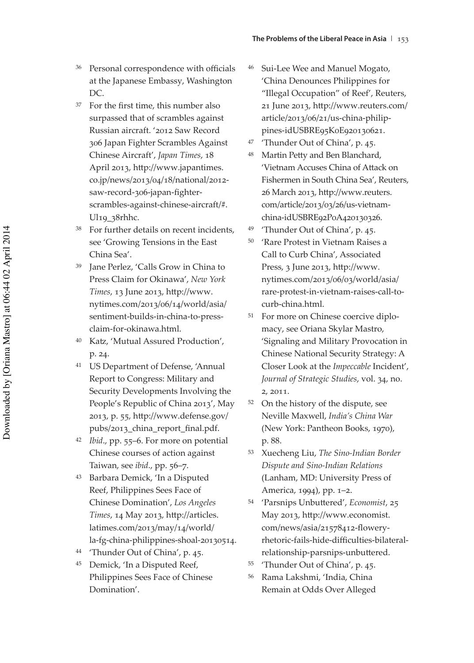- 36 Personal correspondence with officials at the Japanese Embassy, Washington DC.
- 37 For the first time, this number also surpassed that of scrambles against Russian aircraft. '2012 Saw Record 306 Japan Fighter Scrambles Against Chinese Aircraft', Japan Times, 18 April 2013, http://www.japantimes. co.jp/news/2013/04/18/national/2012saw-record-306-japan-fighterscrambles-against-chinese-aircraft/#. Ul19 38rhhc.
- 38 For further details on recent incidents. see 'Growing Tensions in the East China Sea'.
- 39 Jane Perlez, 'Calls Grow in China to Press Claim for Okinawa', New York *Times*, 13 June 2013, http://www. nytimes.com/2013/06/14/world/asia/ sentiment-builds-in-china-to-pressclaim-for-okinawa.html.
- <sup>40</sup> Katz, 'Mutual Assured Production', p. 24.
- <sup>41</sup> US Department of Defense, 'Annual Report to Congress: Military and Security Developments Involving the People's Republic of China 2013', May 2013, p. 55, http://www.defense.gov/ pubs/2013\_china\_report\_final.pdf.
- 42 *Ibid.*, pp. 55–6. For more on potential Chinese courses of action against Taiwan, see *ibid.*, pp. 56-7.
- <sup>43</sup> Barbara Demick, 'In a Disputed Reef, Philippines Sees Face of Chinese Domination', Los Angeles *Times*, 14 May 2013, http://articles. latimes.com/2013/may/14/world/ la-fg-china-philippines-shoal-20130514.
- <sup>44</sup> 'Thunder Out of China', p. 45.
- <sup>45</sup> Demick, 'In a Disputed Reef, Philippines Sees Face of Chinese Domination'.
- 46 Sui-Lee Wee and Manuel Mogato, 'China Denounces Philippines for "Illegal Occupation" of Reef', Reuters, 21 June 2013, http://www.reuters.com/ article/2013/06/21/us-china-philippines-idUSBRE95KoE920130621.
- <sup>47</sup> 'Thunder Out of China', p. 45.
- 48 Martin Petty and Ben Blanchard, 'Vietnam Accuses China of Attack on Fishermen in South China Sea', Reuters, 26 March 2013, http://www.reuters. com/article/2013/03/26/us-vietnamchina-idUSBRE92P0A420130326.
- <sup>49</sup> 'Thunder Out of China', p. 45.
- 50 'Rare Protest in Vietnam Raises a Call to Curb China', Associated Press, 3 June 2013, http://www. nytimes.com/2013/06/03/world/asia/ rare-protest-in-vietnam-raises-call-tocurb-china.html.
- 51 For more on Chinese coercive diplomacy, see Oriana Skylar Mastro, 'Signaling and Military Provocation in Chinese National Security Strategy: A Closer Look at the *Impeccable* Incident', *Journal of Strategic Studies*, vol. 34, no.  $2, 2011.$
- 52 On the history of the dispute, see Neville Maxwell, *India's China War* (New York: Pantheon Books, 1970), p. 88.
- <sup>53</sup> ȱǰȱ*The Sino-Indian Border Dispute and Sino-Indian Relations* (Lanham, MD: University Press of America, 1994), pp. 1-2.
- 54 **'Parsnips Unbuttered'**, Economist, 25 May 2013, http://www.economist. com/news/asia/21578412-floweryrhetoric-fails-hide-difficulties-bilateralrelationship-parsnips-unbuttered.
- <sup>55</sup> 'Thunder Out of China', p. 45.
- <sup>56</sup> Rama Lakshmi, 'India, China Remain at Odds Over Alleged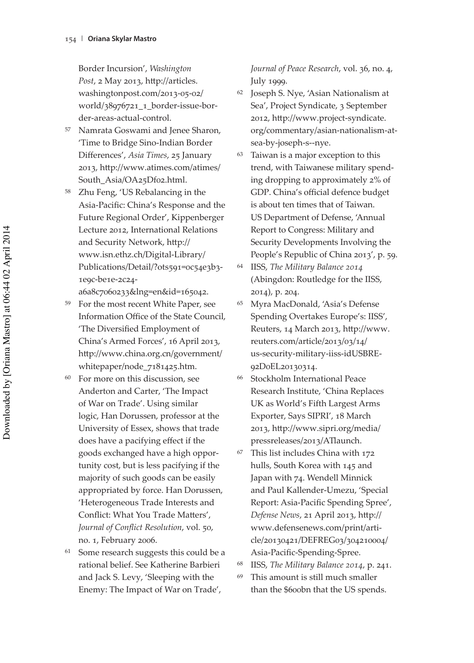Border Incursion', Washington *Post*, 2 May 2013, http://articles. washingtonpost.com/2013-05-02/ world/38976721 1 border-issue-border-areas-actual-control.

- <sup>57</sup> Namrata Goswami and Jenee Sharon. 'Time to Bridge Sino-Indian Border Differences', Asia Times, 25 January 2013, http://www.atimes.com/atimes/ South\_Asia/OA25Dfo2.html.
- <sup>58</sup> Zhu Feng, 'US Rebalancing in the Asia-Pacific: China's Response and the Future Regional Order', Kippenberger Lecture 2012, International Relations and Security Network, http:// www.isn.ethz.ch/Digital-Library/ Publications/Detail/?ots591=0c54e3b3-1e9c-be1e-2c24a6a8c7060233&lng=en&id=165042.
- 59 For the most recent White Paper, see Information Office of the State Council. 'The Diversified Employment of China's Armed Forces', 16 April 2013, http://www.china.org.cn/government/ whitepaper/node\_7181425.htm.
- <sup>60</sup> For more on this discussion, see Anderton and Carter, 'The Impact of War on Trade'. Using similar logic, Han Dorussen, professor at the University of Essex, shows that trade does have a pacifying effect if the goods exchanged have a high opportunity cost, but is less pacifying if the majority of such goods can be easily appropriated by force. Han Dorussen, 'Heterogeneous Trade Interests and Conflict: What You Trade Matters', Journal of Conflict Resolution, vol. 50, no. 1, February 2006.
- <sup>61</sup> Some research suggests this could be a rational belief. See Katherine Barbieri and Jack S. Levy, 'Sleeping with the Enemy: The Impact of War on Trade',

*Journal of Peace Research*, vol. 36, no. 4, July 1999.

- 62 Joseph S. Nye, 'Asian Nationalism at Sea', Project Syndicate, 3 September 2012, http://www.project-syndicate. org/commentary/asian-nationalism-atsea-by-joseph-s--nye.
- 63 Taiwan is a major exception to this trend, with Taiwanese military spending dropping to approximately 2% of GDP. China's official defence budget is about ten times that of Taiwan. US Department of Defense, 'Annual Report to Congress: Military and Security Developments Involving the People's Republic of China 2013', p. 59.
- <sup>64</sup> IISS, The Military Balance 2014 (Abingdon: Routledge for the IISS, 2014), p. 204.
- 65 Myra MacDonald, 'Asia's Defense Spending Overtakes Europe's: IISS', Reuters, 14 March 2013, http://www. reuters.com/article/2013/03/14/ us-security-military-iiss-idUSBRE-92D0EL20130314.
- <sup>66</sup> Stockholm International Peace Research Institute, 'China Replaces UK as World's Fifth Largest Arms Exporter, Says SIPRI', 18 March 2013, http://www.sipri.org/media/ pressreleases/2013/ATlaunch.
- <sup>67</sup> This list includes China with 172 hulls, South Korea with 145 and Japan with 74. Wendell Minnick and Paul Kallender-Umezu, 'Special Report: Asia-Pacific Spending Spree', *Defense News*, 21 April 2013, http:// www.defensenews.com/print/article/20130421/DEFREG03/304210004/ Asia-Pacific-Spending-Spree.
- <sup>68</sup> IISS, The Military Balance 2014, p. 241.
- <sup>69</sup> This amount is still much smaller than the \$600bn that the US spends.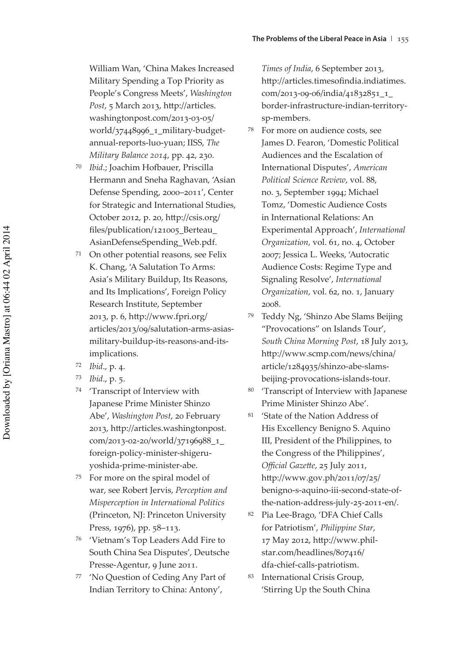William Wan, 'China Makes Increased Military Spending a Top Priority as People's Congress Meets', Washington Post, 5 March 2013, http://articles. washingtonpost.com/2013-03-05/ world/37448996\_1\_military-budgetannual-reports-luo-yuan; IISS, The *Military Balance 2014, pp. 42, 230.* 

- <sup>70</sup> *Ibid.*; Joachim Hofbauer, Priscilla Hermann and Sneha Raghavan, 'Asian Defense Spending, 2000-2011', Center for Strategic and International Studies, October 2012, p. 20, http://csis.org/ files/publication/121005\_Berteau\_ AsianDefenseSpending\_Web.pdf.
- 71 On other potential reasons, see Felix K. Chang, 'A Salutation To Arms: Asia's Military Buildup, Its Reasons, and Its Implications', Foreign Policy Research Institute, September 2013, p. 6, http://www.fpri.org/ articles/2013/09/salutation-arms-asiasmilitary-buildup-its-reasons-and-itsimplications.
- 72 *Ibid.*, p. 4.
- 73 *Ibid.*, p. 5.
- 74 Transcript of Interview with Japanese Prime Minister Shinzo Abe', Washington Post, 20 February 2013, http://articles.washingtonpost. com/2013-02-20/world/37196988\_1 foreign-policy-minister-shigeruyoshida-prime-minister-abe.
- <sup>75</sup> For more on the spiral model of war, see Robert Jervis, Perception and *Misperception in International Politics* (Princeton, NJ: Princeton University Press, 1976), pp. 58–113.
- <sup>76</sup> 'Vietnam's Top Leaders Add Fire to South China Sea Disputes', Deutsche Presse-Agentur, 9 June 2011.
- 77 'No Question of Ceding Any Part of Indian Territory to China: Antony',

*Times of India*, 6 September 2013, http://articles.timesofindia.indiatimes.  $com/2013-09-06/india/41832851$  1 border-infrastructure-indian-territorysp-members.

- <sup>78</sup> For more on audience costs, see James D. Fearon, 'Domestic Political Audiences and the Escalation of International Disputes', American *Political Science Review*, vol. 88, no. 3, September 1994; Michael Tomz. 'Domestic Audience Costs in International Relations: An Experimental Approach', International *Organization*, vol. 61, no. 4, October 2007; Jessica L. Weeks, 'Autocratic Audience Costs: Regime Type and Signaling Resolve', International *Organization*, vol. 62, no. 1, January 2008.
- 79 Teddy Ng, 'Shinzo Abe Slams Beijing "Provocations" on Islands Tour', South China Morning Post, 18 July 2013, http://www.scmp.com/news/china/ article/1284935/shinzo-abe-slamsbeijing-provocations-islands-tour.
- 80 Transcript of Interview with Japanese Prime Minister Shinzo Abe'.
- <sup>81</sup> 'State of the Nation Address of His Excellency Benigno S. Aquino III, President of the Philippines, to the Congress of the Philippines', Official Gazette, 25 July 2011, http://www.gov.ph/2011/07/25/ benigno-s-aquino-iii-second-state-ofthe-nation-address-july-25-2011-en/.
- 82 Pia Lee-Brago, 'DFA Chief Calls for Patriotism', Philippine Star, 17 May 2012, http://www.philstar.com/headlines/807416/ dfa-chief-calls-patriotism.
- 83 International Crisis Group, 'Stirring Up the South China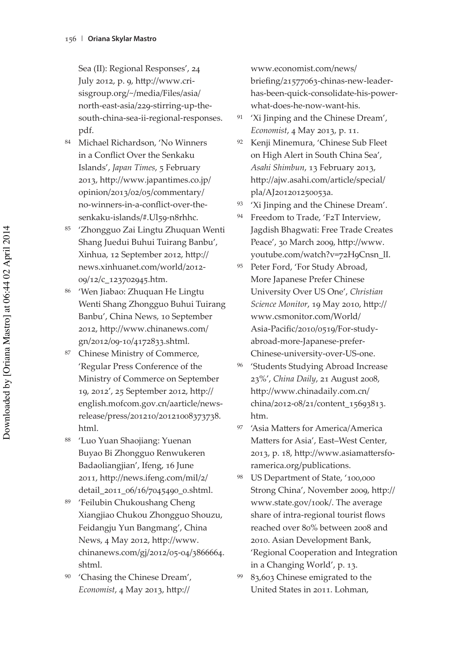Sea (II): Regional Responses', 24 July 2012, p. 9, http://www.crisisgroup.org/~/media/Files/asia/ north-east-asia/229-stirring-up-thesouth-china-sea-ii-regional-responses. pdf.

- <sup>84</sup> Michael Richardson, 'No Winners in a Conflict Over the Senkaku Islands', Japan Times, 5 February 2013, http://www.japantimes.co.jp/ opinion/2013/02/05/commentary/ no-winners-in-a-conflict-over-thesenkaku-islands/#.Ul59-n8rhhc.
- 85 'Zhongguo Zai Lingtu Zhuquan Wenti Shang Juedui Buhui Tuirang Banbu', Xinhua, 12 September 2012, http:// news.xinhuanet.com/world/2012-09/12/c 123702945.htm.
- <sup>86</sup> 'Wen Jiabao: Zhuquan He Lingtu Wenti Shang Zhongguo Buhui Tuirang Banbu', China News, 10 September 2012, http://www.chinanews.com/ gn/2012/09-10/4172833.shtml.
- <sup>87</sup> Chinese Ministry of Commerce, 'Regular Press Conference of the Ministry of Commerce on September 19, 2012', 25 September 2012, http:// english.mofcom.gov.cn/aarticle/newsrelease/press/201210/20121008373738. html.
- 88 'Luo Yuan Shaojiang: Yuenan Buyao Bi Zhongguo Renwukeren Badaoliangjian', Ifeng, 16 June 2011, http://news.ifeng.com/mil/2/ detail 2011 06/16/7045490 0.shtml.
- 89 'Feilubin Chukoushang Cheng Xiangjiao Chukou Zhongguo Shouzu, Feidangju Yun Bangmang', China News, 4 May 2012, http://www. chinanews.com/gj/2012/05-04/3866664. shtml.
- 90 'Chasing the Chinese Dream', *Economist*, 4 May 2013, http://

www.economist.com/news/ briefing/21577063-chinas-new-leaderhas-been-quick-consolidate-his-powerwhat-does-he-now-want-his.

- <sup>91</sup> 'Xi Jinping and the Chinese Dream', *Economist*, 4 May 2013, p. 11.
- 92 Kenji Minemura, 'Chinese Sub Fleet on High Alert in South China Sea', Asahi Shimbun, 13 February 2013, http://ajw.asahi.com/article/special/ pla/AJ201201250053a.
- 93 'Xi Jinping and the Chinese Dream'.
- Freedom to Trade, 'F2T Interview, Jagdish Bhagwati: Free Trade Creates Peace', 30 March 2009, http://www. youtube.com/watch?v=72H9Cnsn\_lI.
- 95 Peter Ford, 'For Study Abroad, More Japanese Prefer Chinese University Over US One', Christian *Science Monitor*, 19 May 2010, http:// www.csmonitor.com/World/ Asia-Pacific/2010/0519/For-studyabroad-more-Japanese-prefer-Chinese-university-over-US-one.
- <sup>96</sup> 'Students Studying Abroad Increase 23%', China Daily, 21 August 2008, http://www.chinadaily.com.cn/ china/2012-08/21/content\_15693813. htm.
- 97 'Asia Matters for America/America Matters for Asia', East-West Center, 2013, p. 18, http://www.asiamattersforamerica.org/publications.
- 98 US Department of State, '100,000 Strong China', November 2009, http:// www.state.gov/100k/. The average share of intra-regional tourist flows reached over 80% between 2008 and 2010. Asian Development Bank, 'Regional Cooperation and Integration in a Changing World', p. 13.
- 99 83,603 Chinese emigrated to the United States in 2011. Lohman,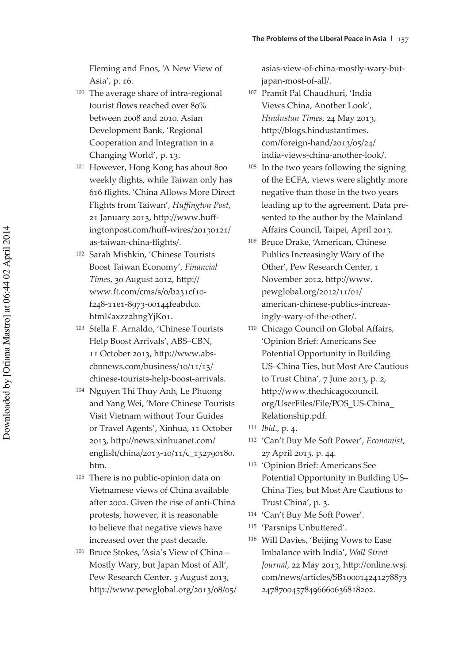Fleming and Enos, 'A New View of Asia', p. 16.

- 100 The average share of intra-regional tourist flows reached over 80% between 2008 and 2010. Asian Development Bank, 'Regional Cooperation and Integration in a Changing World', p. 13.
- <sup>101</sup> However, Hong Kong has about 800 weekly flights, while Taiwan only has 616 flights. 'China Allows More Direct Flights from Taiwan'*, Huffington Post,* 21 January 2013, http://www.huffingtonpost.com/huff-wires/20130121/ as-taiwan-china-flights/.
- 102 Sarah Mishkin, 'Chinese Tourists Boost Taiwan Economy', Financial *Times*, 30 August 2012, http:// www.ft.com/cms/s/o/b231cf10f248-11e1-8973-00144feabdco. html#axzz2hngYjKo1.
- 103 Stella F. Arnaldo, 'Chinese Tourists Help Boost Arrivals', ABS–CBN, 11 October 2013, http://www.abscbnnews.com/business/10/11/13/ chinese-tourists-help-boost-arrivals.
- 104 Nguyen Thi Thuy Anh, Le Phuong and Yang Wei, 'More Chinese Tourists Visit Vietnam without Tour Guides or Travel Agents', Xinhua, 11 October 2013, http://news.xinhuanet.com/ english/china/2013-10/11/c\_132790180. htm.
- 105 There is no public-opinion data on Vietnamese views of China available after 2002. Given the rise of anti-China protests, however, it is reasonable to believe that negative views have increased over the past decade.
- 106 Bruce Stokes, 'Asia's View of China-Mostly Wary, but Japan Most of All', Pew Research Center, 5 August 2013, http://www.pewglobal.org/2013/08/05/

asias-view-of-china-mostly-wary-butjapan-most-of-all/.

- <sup>107</sup> Pramit Pal Chaudhuri, 'India Views China, Another Look', *Hindustan Times*, 24 May 2013, http://blogs.hindustantimes. com/foreign-hand/2013/05/24/ india-views-china-another-look/.
- 108 In the two years following the signing of the ECFA, views were slightly more negative than those in the two years leading up to the agreement. Data presented to the author by the Mainland Affairs Council, Taipei, April 2013.
- 109 Bruce Drake, 'American, Chinese Publics Increasingly Wary of the Other', Pew Research Center, 1 November 2012, http://www. pewglobal.org/2012/11/01/ american-chinese-publics-increasingly-wary-of-the-other/.
- 110 Chicago Council on Global Affairs, 'Opinion Brief: Americans See Potential Opportunity in Building US-China Ties, but Most Are Cautious to Trust China', 7 June 2013, p. 2, http://www.thechicagocouncil. org/UserFiles/File/POS\_US-China Relationship.pdf.
- 111 *Ibid.*, p. 4.
- 112 'Can't Buy Me Soft Power', Economist, 27 April 2013, p. 44.
- 113 'Opinion Brief: Americans See Potential Opportunity in Building US-China Ties, but Most Are Cautious to Trust China', p. 3.
- 114 'Can't Buy Me Soft Power'.
- 115 'Parsnips Unbuttered'.
- 116 Will Davies, 'Beijing Vows to Ease Imbalance with India', Wall Street *Journal*, 22 May 2013, http://online.wsj. com/news/articles/SB100014241278873 24787004578496660636818202.